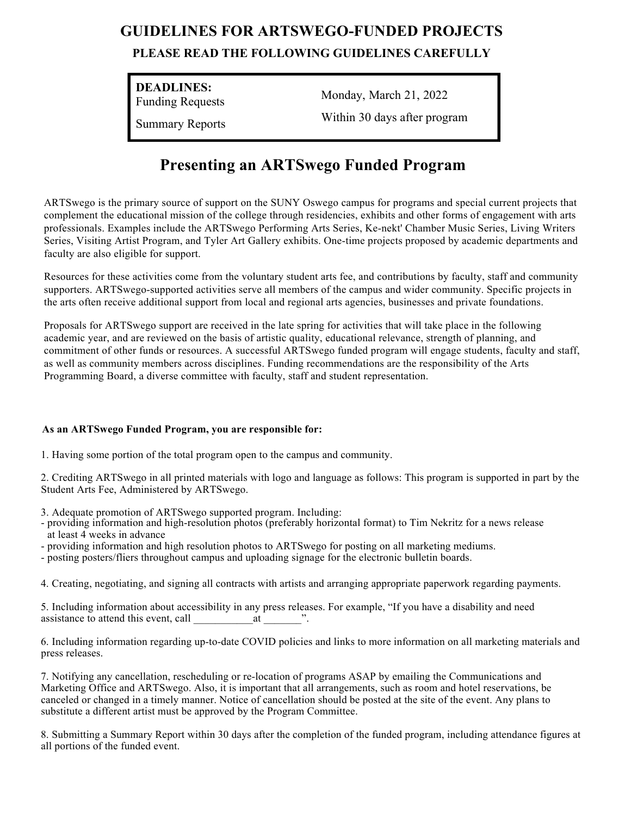# **GUIDELINES FOR ARTSWEGO-FUNDED PROJECTS**

#### **PLEASE READ THE FOLLOWING GUIDELINES CAREFULLY**

**DEADLINES:**

Funding Requests

Summary Reports

Monday, March 21, 2022 Within 30 days after program

## **Presenting an ARTSwego Funded Program**

ARTSwego is the primary source of support on the SUNY Oswego campus for programs and special current projects that complement the educational mission of the college through residencies, exhibits and other forms of engagement with arts professionals. Examples include the ARTSwego Performing Arts Series, Ke-nekt' Chamber Music Series, Living Writers Series, Visiting Artist Program, and Tyler Art Gallery exhibits. One-time projects proposed by academic departments and faculty are also eligible for support.

Resources for these activities come from the voluntary student arts fee, and contributions by faculty, staff and community supporters. ARTSwego-supported activities serve all members of the campus and wider community. Specific projects in the arts often receive additional support from local and regional arts agencies, businesses and private foundations.

Proposals for ARTSwego support are received in the late spring for activities that will take place in the following academic year, and are reviewed on the basis of artistic quality, educational relevance, strength of planning, and commitment of other funds or resources. A successful ARTSwego funded program will engage students, faculty and staff, as well as community members across disciplines. Funding recommendations are the responsibility of the Arts Programming Board, a diverse committee with faculty, staff and student representation.

#### **As an ARTSwego Funded Program, you are responsible for:**

1. Having some portion of the total program open to the campus and community.

2. Crediting ARTSwego in all printed materials with logo and language as follows: This program is supported in part by the Student Arts Fee, Administered by ARTSwego.

3. Adequate promotion of ARTSwego supported program. Including:

- providing information and high-resolution photos (preferably horizontal format) to Tim Nekritz for a news release at least 4 weeks in advance
- providing information and high resolution photos to ARTSwego for posting on all marketing mediums.
- posting posters/fliers throughout campus and uploading signage for the electronic bulletin boards.

4. Creating, negotiating, and signing all contracts with artists and arranging appropriate paperwork regarding payments.

5. Including information about accessibility in any press releases. For example, "If you have a disability and need assistance to attend this event, call  $\alpha$  at  $\alpha$ .

6. Including information regarding up-to-date COVID policies and links to more information on all marketing materials and press releases.

7. Notifying any cancellation, rescheduling or re-location of programs ASAP by emailing the Communications and Marketing Office and ARTSwego. Also, it is important that all arrangements, such as room and hotel reservations, be canceled or changed in a timely manner. Notice of cancellation should be posted at the site of the event. Any plans to substitute a different artist must be approved by the Program Committee.

8. Submitting a Summary Report within 30 days after the completion of the funded program, including attendance figures at all portions of the funded event.